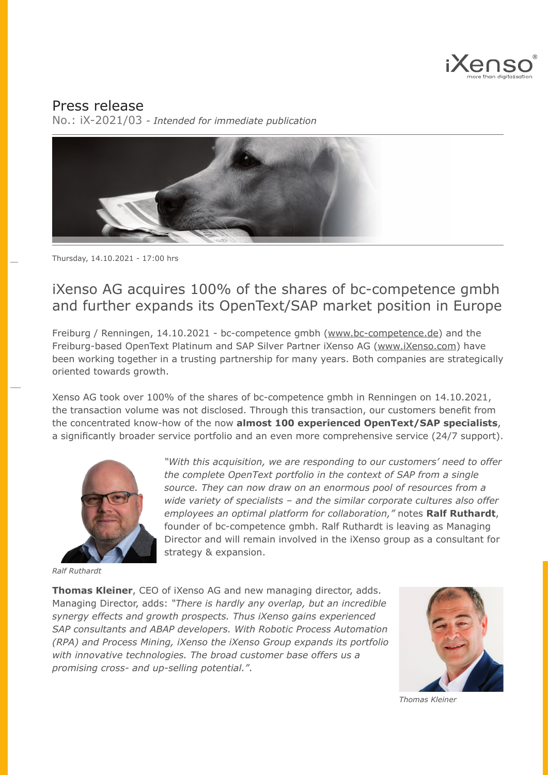

## Press release

No.: iX-2021/03 *- Intended for immediate publication*



## iXenso AG acquires 100% of the shares of bc-competence gmbh and further expands its OpenText/SAP market position in Europe

Freiburg / Renningen, 14.10.2021 - bc-competence gmbh [\(www.bc-competence.de\)](http://www.bc-competence.de) and the Freiburg-based OpenText Platinum and SAP Silver Partner iXenso AG ([www.iXenso.com\)](https://www.ixenso.com) have been working together in a trusting partnership for many years. Both companies are strategically oriented towards growth.

Xenso AG took over 100% of the shares of bc-competence gmbh in Renningen on 14.10.2021, the transaction volume was not disclosed. Through this transaction, our customers benefit from the concentrated know-how of the now **almost 100 experienced OpenText/SAP specialists**, a significantly broader service portfolio and an even more comprehensive service (24/7 support).



*Ralf Ruthardt*

*"With this acquisition, we are responding to our customers' need to offer the complete OpenText portfolio in the context of SAP from a single source. They can now draw on an enormous pool of resources from a wide variety of specialists – and the similar corporate cultures also offer employees an optimal platform for collaboration,"* notes **Ralf Ruthardt**, founder of bc-competence gmbh. Ralf Ruthardt is leaving as Managing Director and will remain involved in the iXenso group as a consultant for strategy & expansion.

**Thomas Kleiner**, CEO of iXenso AG and new managing director, adds. Managing Director, adds: *"There is hardly any overlap, but an incredible synergy effects and growth prospects. Thus iXenso gains experienced SAP consultants and ABAP developers. With Robotic Process Automation (RPA) and Process Mining, iXenso the iXenso Group expands its portfolio with innovative technologies. The broad customer base offers us a promising cross- and up-selling potential."*.



*Thomas Kleiner*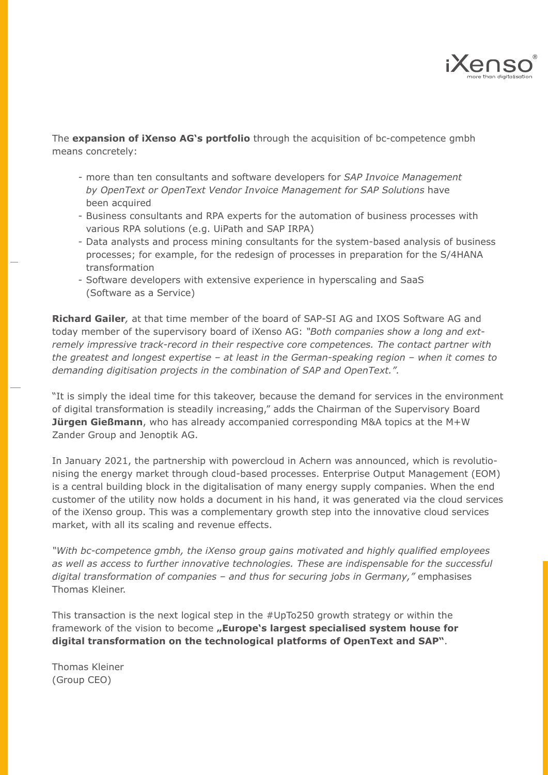

The **expansion of iXenso AG's portfolio** through the acquisition of bc-competence gmbh means concretely:

- more than ten consultants and software developers for *SAP Invoice Management by OpenText or OpenText Vendor Invoice Management for SAP Solutions* have been acquired
- Business consultants and RPA experts for the automation of business processes with various RPA solutions (e.g. UiPath and SAP IRPA)
- Data analysts and process mining consultants for the system-based analysis of business processes; for example, for the redesign of processes in preparation for the S/4HANA transformation
- Software developers with extensive experience in hyperscaling and SaaS (Software as a Service)

**Richard Gailer***,* at that time member of the board of SAP-SI AG and IXOS Software AG and today member of the supervisory board of iXenso AG: *"Both companies show a long and extremely impressive track-record in their respective core competences. The contact partner with the greatest and longest expertise – at least in the German-speaking region – when it comes to demanding digitisation projects in the combination of SAP and OpenText.".*

"It is simply the ideal time for this takeover, because the demand for services in the environment of digital transformation is steadily increasing," adds the Chairman of the Supervisory Board **Jürgen Gießmann**, who has already accompanied corresponding M&A topics at the M+W Zander Group and Jenoptik AG.

In January 2021, the partnership with powercloud in Achern was announced, which is revolutionising the energy market through cloud-based processes. Enterprise Output Management (EOM) is a central building block in the digitalisation of many energy supply companies. When the end customer of the utility now holds a document in his hand, it was generated via the cloud services of the iXenso group. This was a complementary growth step into the innovative cloud services market, with all its scaling and revenue effects.

*"With bc-competence gmbh, the iXenso group gains motivated and highly qualified employees as well as access to further innovative technologies. These are indispensable for the successful digital transformation of companies – and thus for securing jobs in Germany,"* emphasises Thomas Kleiner.

This transaction is the next logical step in the #UpTo250 growth strategy or within the framework of the vision to become "Europe's largest specialised system house for **digital transformation on the technological platforms of OpenText and SAP"**.

Thomas Kleiner (Group CEO)